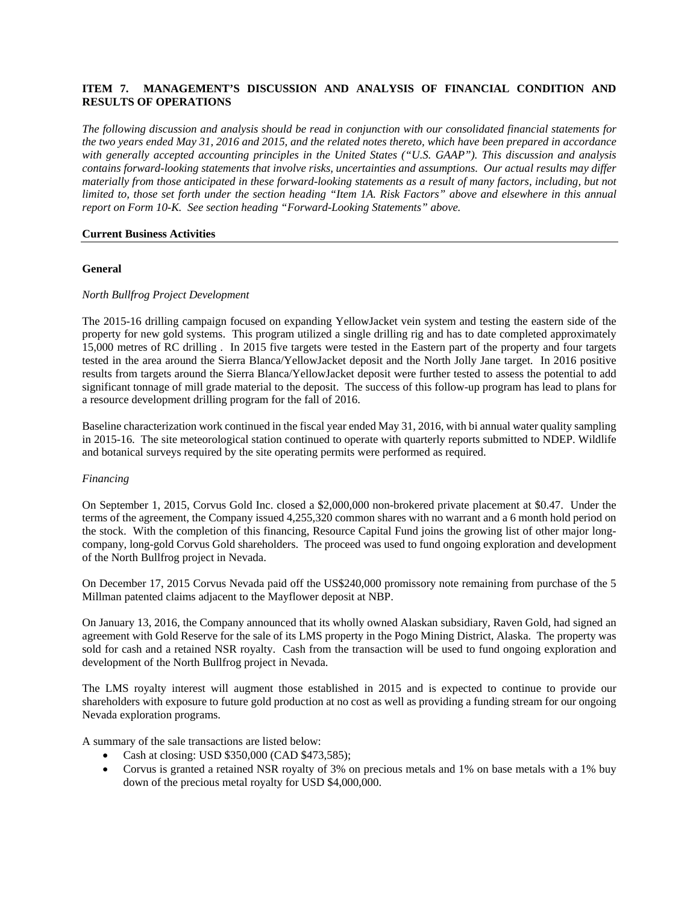# **ITEM 7. MANAGEMENT'S DISCUSSION AND ANALYSIS OF FINANCIAL CONDITION AND RESULTS OF OPERATIONS**

*The following discussion and analysis should be read in conjunction with our consolidated financial statements for the two years ended May 31, 2016 and 2015, and the related notes thereto, which have been prepared in accordance with generally accepted accounting principles in the United States ("U.S. GAAP"). This discussion and analysis contains forward-looking statements that involve risks, uncertainties and assumptions. Our actual results may differ materially from those anticipated in these forward-looking statements as a result of many factors, including, but not limited to, those set forth under the section heading "Item 1A. Risk Factors" above and elsewhere in this annual report on Form 10-K. See section heading "Forward-Looking Statements" above.*

## **Current Business Activities**

## **General**

## *North Bullfrog Project Development*

The 2015-16 drilling campaign focused on expanding YellowJacket vein system and testing the eastern side of the property for new gold systems. This program utilized a single drilling rig and has to date completed approximately 15,000 metres of RC drilling . In 2015 five targets were tested in the Eastern part of the property and four targets tested in the area around the Sierra Blanca/YellowJacket deposit and the North Jolly Jane target. In 2016 positive results from targets around the Sierra Blanca/YellowJacket deposit were further tested to assess the potential to add significant tonnage of mill grade material to the deposit. The success of this follow-up program has lead to plans for a resource development drilling program for the fall of 2016.

Baseline characterization work continued in the fiscal year ended May 31, 2016, with bi annual water quality sampling in 2015-16. The site meteorological station continued to operate with quarterly reports submitted to NDEP. Wildlife and botanical surveys required by the site operating permits were performed as required.

### *Financing*

On September 1, 2015, Corvus Gold Inc. closed a \$2,000,000 non-brokered private placement at \$0.47. Under the terms of the agreement, the Company issued 4,255,320 common shares with no warrant and a 6 month hold period on the stock. With the completion of this financing, Resource Capital Fund joins the growing list of other major longcompany, long-gold Corvus Gold shareholders. The proceed was used to fund ongoing exploration and development of the North Bullfrog project in Nevada.

On December 17, 2015 Corvus Nevada paid off the US\$240,000 promissory note remaining from purchase of the 5 Millman patented claims adjacent to the Mayflower deposit at NBP.

On January 13, 2016, the Company announced that its wholly owned Alaskan subsidiary, Raven Gold, had signed an agreement with Gold Reserve for the sale of its LMS property in the Pogo Mining District, Alaska. The property was sold for cash and a retained NSR royalty. Cash from the transaction will be used to fund ongoing exploration and development of the North Bullfrog project in Nevada.

The LMS royalty interest will augment those established in 2015 and is expected to continue to provide our shareholders with exposure to future gold production at no cost as well as providing a funding stream for our ongoing Nevada exploration programs.

A summary of the sale transactions are listed below:

- Cash at closing: USD \$350,000 (CAD \$473,585);
- Corvus is granted a retained NSR royalty of 3% on precious metals and 1% on base metals with a 1% buy down of the precious metal royalty for USD \$4,000,000.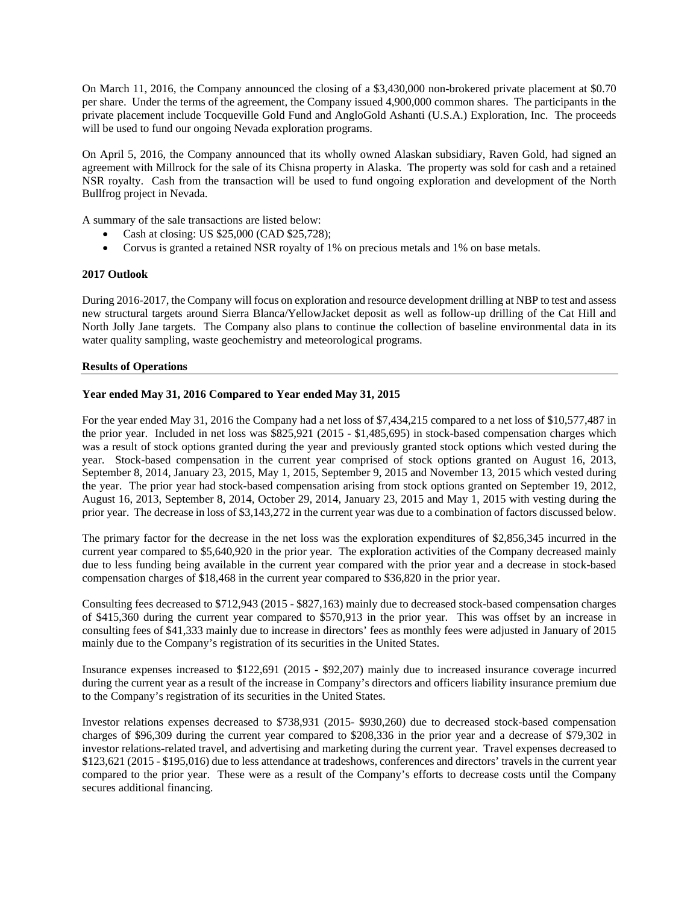On March 11, 2016, the Company announced the closing of a \$3,430,000 non-brokered private placement at \$0.70 per share. Under the terms of the agreement, the Company issued 4,900,000 common shares. The participants in the private placement include Tocqueville Gold Fund and AngloGold Ashanti (U.S.A.) Exploration, Inc. The proceeds will be used to fund our ongoing Nevada exploration programs.

On April 5, 2016, the Company announced that its wholly owned Alaskan subsidiary, Raven Gold, had signed an agreement with Millrock for the sale of its Chisna property in Alaska. The property was sold for cash and a retained NSR royalty. Cash from the transaction will be used to fund ongoing exploration and development of the North Bullfrog project in Nevada.

A summary of the sale transactions are listed below:

- Cash at closing: US \$25,000 (CAD \$25,728);
- Corvus is granted a retained NSR royalty of 1% on precious metals and 1% on base metals.

## **2017 Outlook**

During 2016-2017, the Company will focus on exploration and resource development drilling at NBP to test and assess new structural targets around Sierra Blanca/YellowJacket deposit as well as follow-up drilling of the Cat Hill and North Jolly Jane targets. The Company also plans to continue the collection of baseline environmental data in its water quality sampling, waste geochemistry and meteorological programs.

## **Results of Operations**

# **Year ended May 31, 2016 Compared to Year ended May 31, 2015**

For the year ended May 31, 2016 the Company had a net loss of \$7,434,215 compared to a net loss of \$10,577,487 in the prior year. Included in net loss was \$825,921 (2015 - \$1,485,695) in stock-based compensation charges which was a result of stock options granted during the year and previously granted stock options which vested during the year. Stock-based compensation in the current year comprised of stock options granted on August 16, 2013, September 8, 2014, January 23, 2015, May 1, 2015, September 9, 2015 and November 13, 2015 which vested during the year. The prior year had stock-based compensation arising from stock options granted on September 19, 2012, August 16, 2013, September 8, 2014, October 29, 2014, January 23, 2015 and May 1, 2015 with vesting during the prior year. The decrease in loss of \$3,143,272 in the current year was due to a combination of factors discussed below.

The primary factor for the decrease in the net loss was the exploration expenditures of \$2,856,345 incurred in the current year compared to \$5,640,920 in the prior year. The exploration activities of the Company decreased mainly due to less funding being available in the current year compared with the prior year and a decrease in stock-based compensation charges of \$18,468 in the current year compared to \$36,820 in the prior year.

Consulting fees decreased to \$712,943 (2015 - \$827,163) mainly due to decreased stock-based compensation charges of \$415,360 during the current year compared to \$570,913 in the prior year. This was offset by an increase in consulting fees of \$41,333 mainly due to increase in directors' fees as monthly fees were adjusted in January of 2015 mainly due to the Company's registration of its securities in the United States.

Insurance expenses increased to \$122,691 (2015 - \$92,207) mainly due to increased insurance coverage incurred during the current year as a result of the increase in Company's directors and officers liability insurance premium due to the Company's registration of its securities in the United States.

Investor relations expenses decreased to \$738,931 (2015- \$930,260) due to decreased stock-based compensation charges of \$96,309 during the current year compared to \$208,336 in the prior year and a decrease of \$79,302 in investor relations-related travel, and advertising and marketing during the current year. Travel expenses decreased to \$123,621 (2015 - \$195,016) due to less attendance at tradeshows, conferences and directors' travels in the current year compared to the prior year. These were as a result of the Company's efforts to decrease costs until the Company secures additional financing.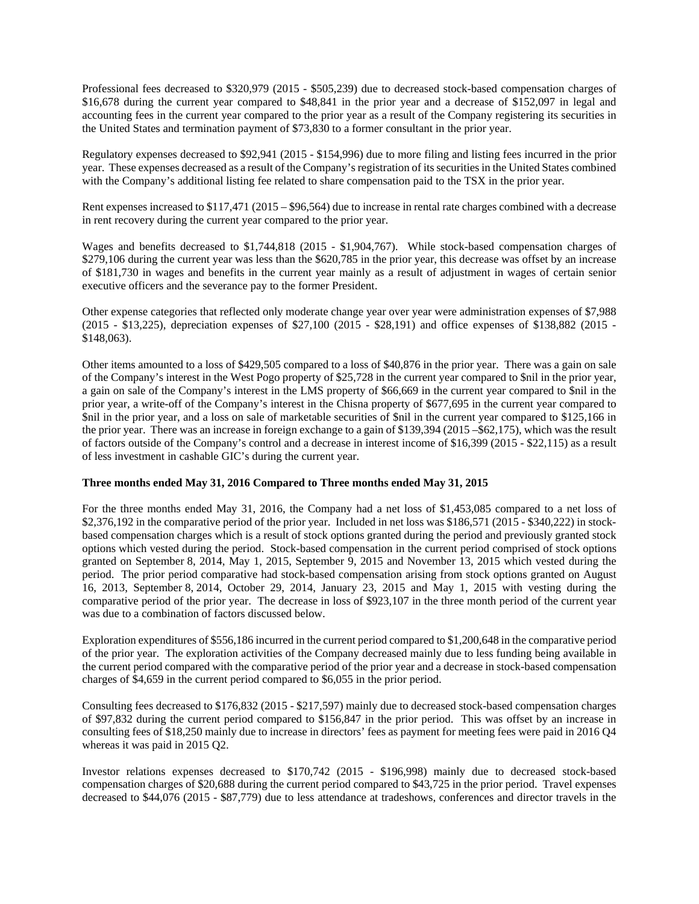Professional fees decreased to \$320,979 (2015 - \$505,239) due to decreased stock-based compensation charges of \$16,678 during the current year compared to \$48,841 in the prior year and a decrease of \$152,097 in legal and accounting fees in the current year compared to the prior year as a result of the Company registering its securities in the United States and termination payment of \$73,830 to a former consultant in the prior year.

Regulatory expenses decreased to \$92,941 (2015 - \$154,996) due to more filing and listing fees incurred in the prior year. These expenses decreased as a result of the Company's registration of its securities in the United States combined with the Company's additional listing fee related to share compensation paid to the TSX in the prior year.

Rent expenses increased to \$117,471 (2015 – \$96,564) due to increase in rental rate charges combined with a decrease in rent recovery during the current year compared to the prior year.

Wages and benefits decreased to \$1,744,818 (2015 - \$1,904,767). While stock-based compensation charges of \$279,106 during the current year was less than the \$620,785 in the prior year, this decrease was offset by an increase of \$181,730 in wages and benefits in the current year mainly as a result of adjustment in wages of certain senior executive officers and the severance pay to the former President.

Other expense categories that reflected only moderate change year over year were administration expenses of \$7,988 (2015 - \$13,225), depreciation expenses of \$27,100 (2015 - \$28,191) and office expenses of \$138,882 (2015 - \$148,063).

Other items amounted to a loss of \$429,505 compared to a loss of \$40,876 in the prior year. There was a gain on sale of the Company's interest in the West Pogo property of \$25,728 in the current year compared to \$nil in the prior year, a gain on sale of the Company's interest in the LMS property of \$66,669 in the current year compared to \$nil in the prior year, a write-off of the Company's interest in the Chisna property of \$677,695 in the current year compared to \$nil in the prior year, and a loss on sale of marketable securities of \$nil in the current year compared to \$125,166 in the prior year. There was an increase in foreign exchange to a gain of \$139,394 (2015 –\$62,175), which was the result of factors outside of the Company's control and a decrease in interest income of \$16,399 (2015 - \$22,115) as a result of less investment in cashable GIC's during the current year.

# **Three months ended May 31, 2016 Compared to Three months ended May 31, 2015**

For the three months ended May 31, 2016, the Company had a net loss of \$1,453,085 compared to a net loss of \$2,376,192 in the comparative period of the prior year. Included in net loss was \$186,571 (2015 - \$340,222) in stockbased compensation charges which is a result of stock options granted during the period and previously granted stock options which vested during the period. Stock-based compensation in the current period comprised of stock options granted on September 8, 2014, May 1, 2015, September 9, 2015 and November 13, 2015 which vested during the period. The prior period comparative had stock-based compensation arising from stock options granted on August 16, 2013, September 8, 2014, October 29, 2014, January 23, 2015 and May 1, 2015 with vesting during the comparative period of the prior year. The decrease in loss of \$923,107 in the three month period of the current year was due to a combination of factors discussed below.

Exploration expenditures of \$556,186 incurred in the current period compared to \$1,200,648 in the comparative period of the prior year. The exploration activities of the Company decreased mainly due to less funding being available in the current period compared with the comparative period of the prior year and a decrease in stock-based compensation charges of \$4,659 in the current period compared to \$6,055 in the prior period.

Consulting fees decreased to \$176,832 (2015 - \$217,597) mainly due to decreased stock-based compensation charges of \$97,832 during the current period compared to \$156,847 in the prior period. This was offset by an increase in consulting fees of \$18,250 mainly due to increase in directors' fees as payment for meeting fees were paid in 2016 Q4 whereas it was paid in 2015 Q2.

Investor relations expenses decreased to \$170,742 (2015 - \$196,998) mainly due to decreased stock-based compensation charges of \$20,688 during the current period compared to \$43,725 in the prior period. Travel expenses decreased to \$44,076 (2015 - \$87,779) due to less attendance at tradeshows, conferences and director travels in the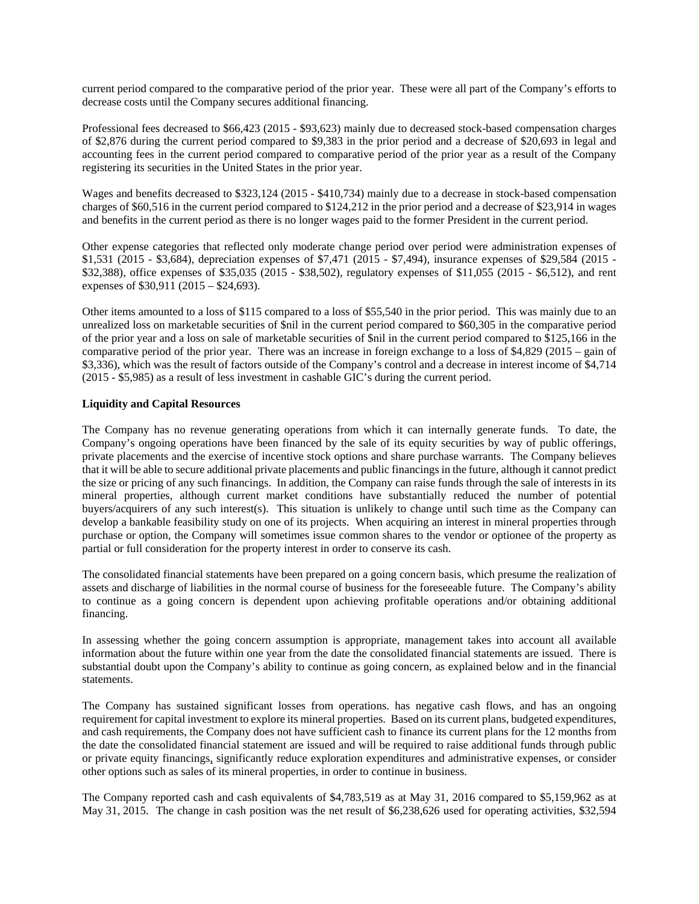current period compared to the comparative period of the prior year. These were all part of the Company's efforts to decrease costs until the Company secures additional financing.

Professional fees decreased to \$66,423 (2015 - \$93,623) mainly due to decreased stock-based compensation charges of \$2,876 during the current period compared to \$9,383 in the prior period and a decrease of \$20,693 in legal and accounting fees in the current period compared to comparative period of the prior year as a result of the Company registering its securities in the United States in the prior year.

Wages and benefits decreased to \$323,124 (2015 - \$410,734) mainly due to a decrease in stock-based compensation charges of \$60,516 in the current period compared to \$124,212 in the prior period and a decrease of \$23,914 in wages and benefits in the current period as there is no longer wages paid to the former President in the current period.

Other expense categories that reflected only moderate change period over period were administration expenses of \$1,531 (2015 - \$3,684), depreciation expenses of \$7,471 (2015 - \$7,494), insurance expenses of \$29,584 (2015 - \$32,388), office expenses of \$35,035 (2015 - \$38,502), regulatory expenses of \$11,055 (2015 - \$6,512), and rent expenses of \$30,911 (2015 – \$24,693).

Other items amounted to a loss of \$115 compared to a loss of \$55,540 in the prior period. This was mainly due to an unrealized loss on marketable securities of \$nil in the current period compared to \$60,305 in the comparative period of the prior year and a loss on sale of marketable securities of \$nil in the current period compared to \$125,166 in the comparative period of the prior year. There was an increase in foreign exchange to a loss of \$4,829 (2015 – gain of \$3,336), which was the result of factors outside of the Company's control and a decrease in interest income of \$4,714 (2015 - \$5,985) as a result of less investment in cashable GIC's during the current period.

## **Liquidity and Capital Resources**

The Company has no revenue generating operations from which it can internally generate funds. To date, the Company's ongoing operations have been financed by the sale of its equity securities by way of public offerings, private placements and the exercise of incentive stock options and share purchase warrants. The Company believes that it will be able to secure additional private placements and public financings in the future, although it cannot predict the size or pricing of any such financings. In addition, the Company can raise funds through the sale of interests in its mineral properties, although current market conditions have substantially reduced the number of potential buyers/acquirers of any such interest(s). This situation is unlikely to change until such time as the Company can develop a bankable feasibility study on one of its projects. When acquiring an interest in mineral properties through purchase or option, the Company will sometimes issue common shares to the vendor or optionee of the property as partial or full consideration for the property interest in order to conserve its cash.

The consolidated financial statements have been prepared on a going concern basis, which presume the realization of assets and discharge of liabilities in the normal course of business for the foreseeable future. The Company's ability to continue as a going concern is dependent upon achieving profitable operations and/or obtaining additional financing.

In assessing whether the going concern assumption is appropriate, management takes into account all available information about the future within one year from the date the consolidated financial statements are issued. There is substantial doubt upon the Company's ability to continue as going concern, as explained below and in the financial statements.

The Company has sustained significant losses from operations. has negative cash flows, and has an ongoing requirement for capital investment to explore its mineral properties. Based on its current plans, budgeted expenditures, and cash requirements, the Company does not have sufficient cash to finance its current plans for the 12 months from the date the consolidated financial statement are issued and will be required to raise additional funds through public or private equity financings, significantly reduce exploration expenditures and administrative expenses, or consider other options such as sales of its mineral properties, in order to continue in business.

The Company reported cash and cash equivalents of \$4,783,519 as at May 31, 2016 compared to \$5,159,962 as at May 31, 2015. The change in cash position was the net result of \$6,238,626 used for operating activities, \$32,594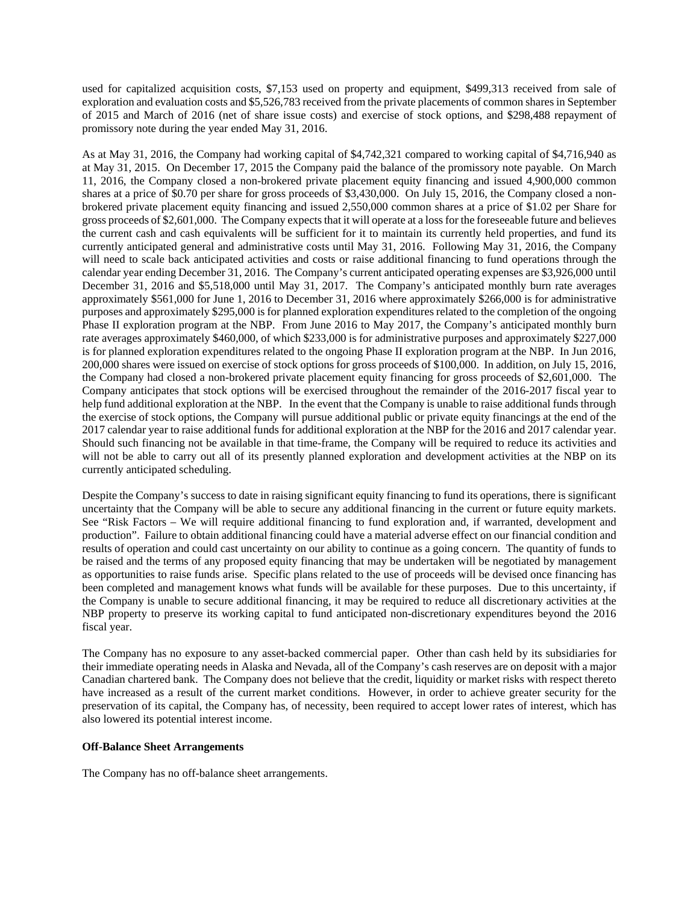used for capitalized acquisition costs, \$7,153 used on property and equipment, \$499,313 received from sale of exploration and evaluation costs and \$5,526,783 received from the private placements of common shares in September of 2015 and March of 2016 (net of share issue costs) and exercise of stock options, and \$298,488 repayment of promissory note during the year ended May 31, 2016.

As at May 31, 2016, the Company had working capital of \$4,742,321 compared to working capital of \$4,716,940 as at May 31, 2015. On December 17, 2015 the Company paid the balance of the promissory note payable. On March 11, 2016, the Company closed a non-brokered private placement equity financing and issued 4,900,000 common shares at a price of \$0.70 per share for gross proceeds of \$3,430,000. On July 15, 2016, the Company closed a nonbrokered private placement equity financing and issued 2,550,000 common shares at a price of \$1.02 per Share for gross proceeds of \$2,601,000. The Company expects that it will operate at a loss for the foreseeable future and believes the current cash and cash equivalents will be sufficient for it to maintain its currently held properties, and fund its currently anticipated general and administrative costs until May 31, 2016. Following May 31, 2016, the Company will need to scale back anticipated activities and costs or raise additional financing to fund operations through the calendar year ending December 31, 2016. The Company's current anticipated operating expenses are \$3,926,000 until December 31, 2016 and \$5,518,000 until May 31, 2017. The Company's anticipated monthly burn rate averages approximately \$561,000 for June 1, 2016 to December 31, 2016 where approximately \$266,000 is for administrative purposes and approximately \$295,000 is for planned exploration expenditures related to the completion of the ongoing Phase II exploration program at the NBP. From June 2016 to May 2017, the Company's anticipated monthly burn rate averages approximately \$460,000, of which \$233,000 is for administrative purposes and approximately \$227,000 is for planned exploration expenditures related to the ongoing Phase II exploration program at the NBP. In Jun 2016, 200,000 shares were issued on exercise of stock options for gross proceeds of \$100,000. In addition, on July 15, 2016, the Company had closed a non-brokered private placement equity financing for gross proceeds of \$2,601,000. The Company anticipates that stock options will be exercised throughout the remainder of the 2016-2017 fiscal year to help fund additional exploration at the NBP. In the event that the Company is unable to raise additional funds through the exercise of stock options, the Company will pursue additional public or private equity financings at the end of the 2017 calendar year to raise additional funds for additional exploration at the NBP for the 2016 and 2017 calendar year. Should such financing not be available in that time-frame, the Company will be required to reduce its activities and will not be able to carry out all of its presently planned exploration and development activities at the NBP on its currently anticipated scheduling.

Despite the Company's success to date in raising significant equity financing to fund its operations, there is significant uncertainty that the Company will be able to secure any additional financing in the current or future equity markets. See "Risk Factors – We will require additional financing to fund exploration and, if warranted, development and production". Failure to obtain additional financing could have a material adverse effect on our financial condition and results of operation and could cast uncertainty on our ability to continue as a going concern. The quantity of funds to be raised and the terms of any proposed equity financing that may be undertaken will be negotiated by management as opportunities to raise funds arise. Specific plans related to the use of proceeds will be devised once financing has been completed and management knows what funds will be available for these purposes. Due to this uncertainty, if the Company is unable to secure additional financing, it may be required to reduce all discretionary activities at the NBP property to preserve its working capital to fund anticipated non-discretionary expenditures beyond the 2016 fiscal year.

The Company has no exposure to any asset-backed commercial paper. Other than cash held by its subsidiaries for their immediate operating needs in Alaska and Nevada, all of the Company's cash reserves are on deposit with a major Canadian chartered bank. The Company does not believe that the credit, liquidity or market risks with respect thereto have increased as a result of the current market conditions. However, in order to achieve greater security for the preservation of its capital, the Company has, of necessity, been required to accept lower rates of interest, which has also lowered its potential interest income.

### **Off-Balance Sheet Arrangements**

The Company has no off-balance sheet arrangements.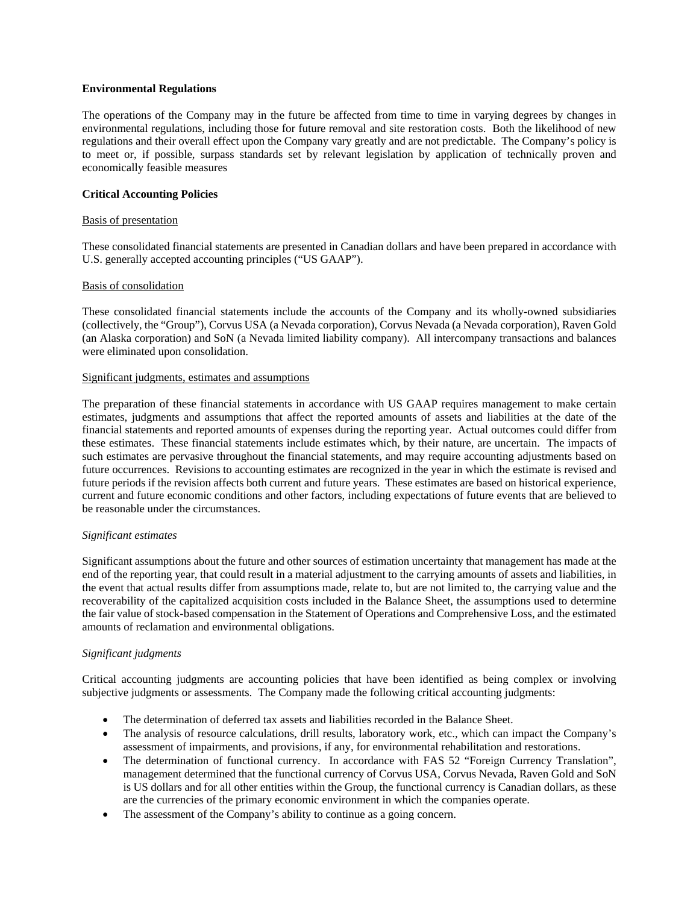### **Environmental Regulations**

The operations of the Company may in the future be affected from time to time in varying degrees by changes in environmental regulations, including those for future removal and site restoration costs. Both the likelihood of new regulations and their overall effect upon the Company vary greatly and are not predictable. The Company's policy is to meet or, if possible, surpass standards set by relevant legislation by application of technically proven and economically feasible measures

## **Critical Accounting Policies**

### Basis of presentation

These consolidated financial statements are presented in Canadian dollars and have been prepared in accordance with U.S. generally accepted accounting principles ("US GAAP").

## Basis of consolidation

These consolidated financial statements include the accounts of the Company and its wholly-owned subsidiaries (collectively, the "Group"), Corvus USA (a Nevada corporation), Corvus Nevada (a Nevada corporation), Raven Gold (an Alaska corporation) and SoN (a Nevada limited liability company). All intercompany transactions and balances were eliminated upon consolidation.

### Significant judgments, estimates and assumptions

The preparation of these financial statements in accordance with US GAAP requires management to make certain estimates, judgments and assumptions that affect the reported amounts of assets and liabilities at the date of the financial statements and reported amounts of expenses during the reporting year. Actual outcomes could differ from these estimates. These financial statements include estimates which, by their nature, are uncertain. The impacts of such estimates are pervasive throughout the financial statements, and may require accounting adjustments based on future occurrences. Revisions to accounting estimates are recognized in the year in which the estimate is revised and future periods if the revision affects both current and future years. These estimates are based on historical experience, current and future economic conditions and other factors, including expectations of future events that are believed to be reasonable under the circumstances.

### *Significant estimates*

Significant assumptions about the future and other sources of estimation uncertainty that management has made at the end of the reporting year, that could result in a material adjustment to the carrying amounts of assets and liabilities, in the event that actual results differ from assumptions made, relate to, but are not limited to, the carrying value and the recoverability of the capitalized acquisition costs included in the Balance Sheet, the assumptions used to determine the fair value of stock-based compensation in the Statement of Operations and Comprehensive Loss, and the estimated amounts of reclamation and environmental obligations.

# *Significant judgments*

Critical accounting judgments are accounting policies that have been identified as being complex or involving subjective judgments or assessments. The Company made the following critical accounting judgments:

- The determination of deferred tax assets and liabilities recorded in the Balance Sheet.
- The analysis of resource calculations, drill results, laboratory work, etc., which can impact the Company's assessment of impairments, and provisions, if any, for environmental rehabilitation and restorations.
- The determination of functional currency. In accordance with FAS 52 "Foreign Currency Translation", management determined that the functional currency of Corvus USA, Corvus Nevada, Raven Gold and SoN is US dollars and for all other entities within the Group, the functional currency is Canadian dollars, as these are the currencies of the primary economic environment in which the companies operate.
- The assessment of the Company's ability to continue as a going concern.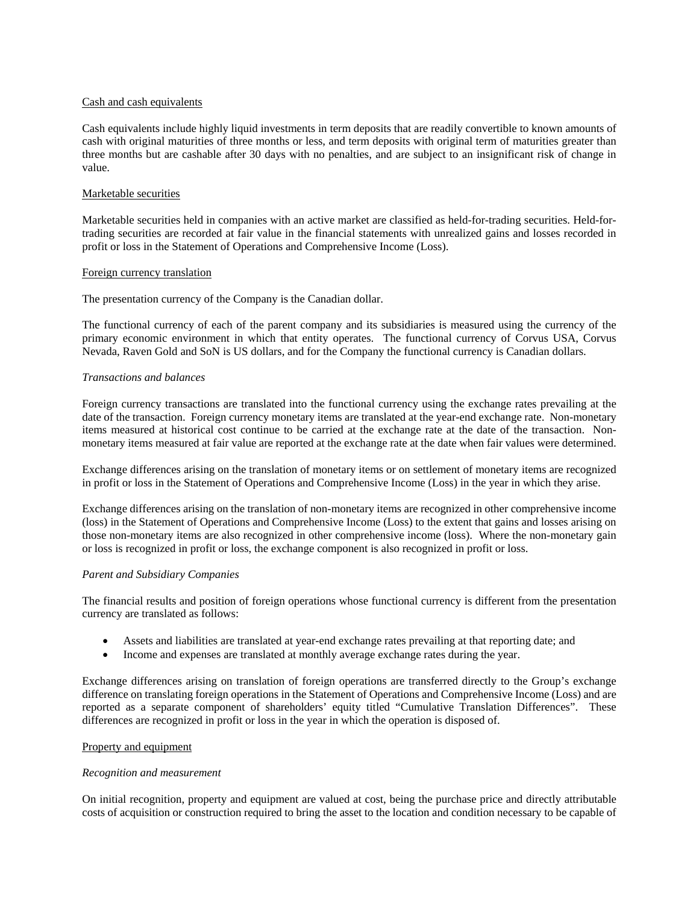## Cash and cash equivalents

Cash equivalents include highly liquid investments in term deposits that are readily convertible to known amounts of cash with original maturities of three months or less, and term deposits with original term of maturities greater than three months but are cashable after 30 days with no penalties, and are subject to an insignificant risk of change in value.

### Marketable securities

Marketable securities held in companies with an active market are classified as held-for-trading securities. Held-fortrading securities are recorded at fair value in the financial statements with unrealized gains and losses recorded in profit or loss in the Statement of Operations and Comprehensive Income (Loss).

### Foreign currency translation

The presentation currency of the Company is the Canadian dollar.

The functional currency of each of the parent company and its subsidiaries is measured using the currency of the primary economic environment in which that entity operates. The functional currency of Corvus USA, Corvus Nevada, Raven Gold and SoN is US dollars, and for the Company the functional currency is Canadian dollars.

## *Transactions and balances*

Foreign currency transactions are translated into the functional currency using the exchange rates prevailing at the date of the transaction. Foreign currency monetary items are translated at the year-end exchange rate. Non-monetary items measured at historical cost continue to be carried at the exchange rate at the date of the transaction. Nonmonetary items measured at fair value are reported at the exchange rate at the date when fair values were determined.

Exchange differences arising on the translation of monetary items or on settlement of monetary items are recognized in profit or loss in the Statement of Operations and Comprehensive Income (Loss) in the year in which they arise.

Exchange differences arising on the translation of non-monetary items are recognized in other comprehensive income (loss) in the Statement of Operations and Comprehensive Income (Loss) to the extent that gains and losses arising on those non-monetary items are also recognized in other comprehensive income (loss). Where the non-monetary gain or loss is recognized in profit or loss, the exchange component is also recognized in profit or loss.

### *Parent and Subsidiary Companies*

The financial results and position of foreign operations whose functional currency is different from the presentation currency are translated as follows:

- Assets and liabilities are translated at year-end exchange rates prevailing at that reporting date; and
- Income and expenses are translated at monthly average exchange rates during the year.

Exchange differences arising on translation of foreign operations are transferred directly to the Group's exchange difference on translating foreign operations in the Statement of Operations and Comprehensive Income (Loss) and are reported as a separate component of shareholders' equity titled "Cumulative Translation Differences". These differences are recognized in profit or loss in the year in which the operation is disposed of.

### Property and equipment

### *Recognition and measurement*

On initial recognition, property and equipment are valued at cost, being the purchase price and directly attributable costs of acquisition or construction required to bring the asset to the location and condition necessary to be capable of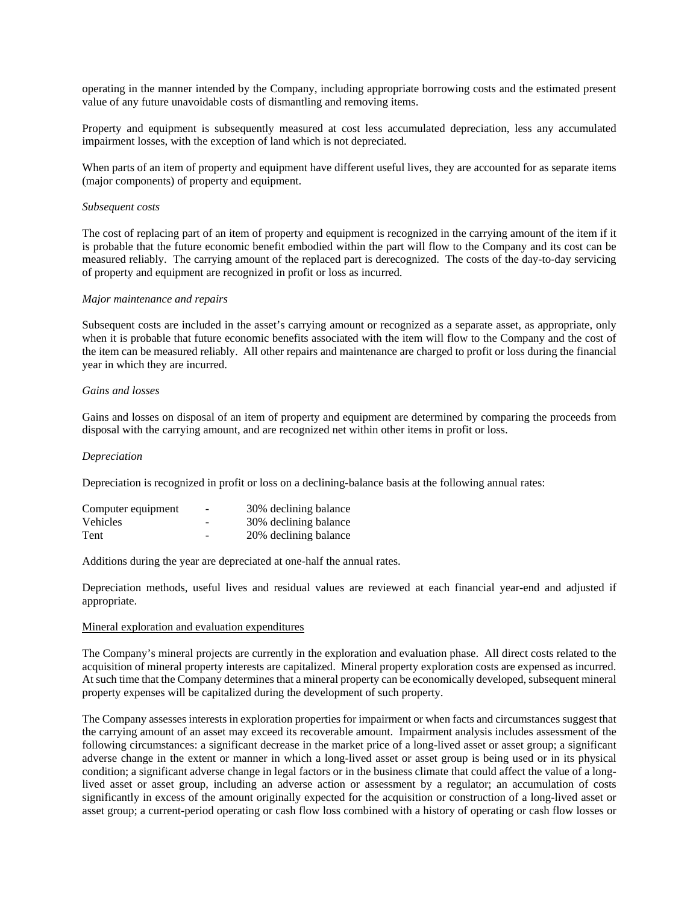operating in the manner intended by the Company, including appropriate borrowing costs and the estimated present value of any future unavoidable costs of dismantling and removing items.

Property and equipment is subsequently measured at cost less accumulated depreciation, less any accumulated impairment losses, with the exception of land which is not depreciated.

When parts of an item of property and equipment have different useful lives, they are accounted for as separate items (major components) of property and equipment.

#### *Subsequent costs*

The cost of replacing part of an item of property and equipment is recognized in the carrying amount of the item if it is probable that the future economic benefit embodied within the part will flow to the Company and its cost can be measured reliably. The carrying amount of the replaced part is derecognized. The costs of the day-to-day servicing of property and equipment are recognized in profit or loss as incurred.

#### *Major maintenance and repairs*

Subsequent costs are included in the asset's carrying amount or recognized as a separate asset, as appropriate, only when it is probable that future economic benefits associated with the item will flow to the Company and the cost of the item can be measured reliably. All other repairs and maintenance are charged to profit or loss during the financial year in which they are incurred.

#### *Gains and losses*

Gains and losses on disposal of an item of property and equipment are determined by comparing the proceeds from disposal with the carrying amount, and are recognized net within other items in profit or loss.

#### *Depreciation*

Depreciation is recognized in profit or loss on a declining-balance basis at the following annual rates:

| Computer equipment | $\overline{\phantom{a}}$ | 30% declining balance |
|--------------------|--------------------------|-----------------------|
| <b>Vehicles</b>    | -                        | 30% declining balance |
| Tent               | -                        | 20% declining balance |

Additions during the year are depreciated at one-half the annual rates.

Depreciation methods, useful lives and residual values are reviewed at each financial year-end and adjusted if appropriate.

### Mineral exploration and evaluation expenditures

The Company's mineral projects are currently in the exploration and evaluation phase. All direct costs related to the acquisition of mineral property interests are capitalized. Mineral property exploration costs are expensed as incurred. At such time that the Company determines that a mineral property can be economically developed, subsequent mineral property expenses will be capitalized during the development of such property.

The Company assesses interests in exploration properties for impairment or when facts and circumstances suggest that the carrying amount of an asset may exceed its recoverable amount. Impairment analysis includes assessment of the following circumstances: a significant decrease in the market price of a long-lived asset or asset group; a significant adverse change in the extent or manner in which a long-lived asset or asset group is being used or in its physical condition; a significant adverse change in legal factors or in the business climate that could affect the value of a longlived asset or asset group, including an adverse action or assessment by a regulator; an accumulation of costs significantly in excess of the amount originally expected for the acquisition or construction of a long-lived asset or asset group; a current-period operating or cash flow loss combined with a history of operating or cash flow losses or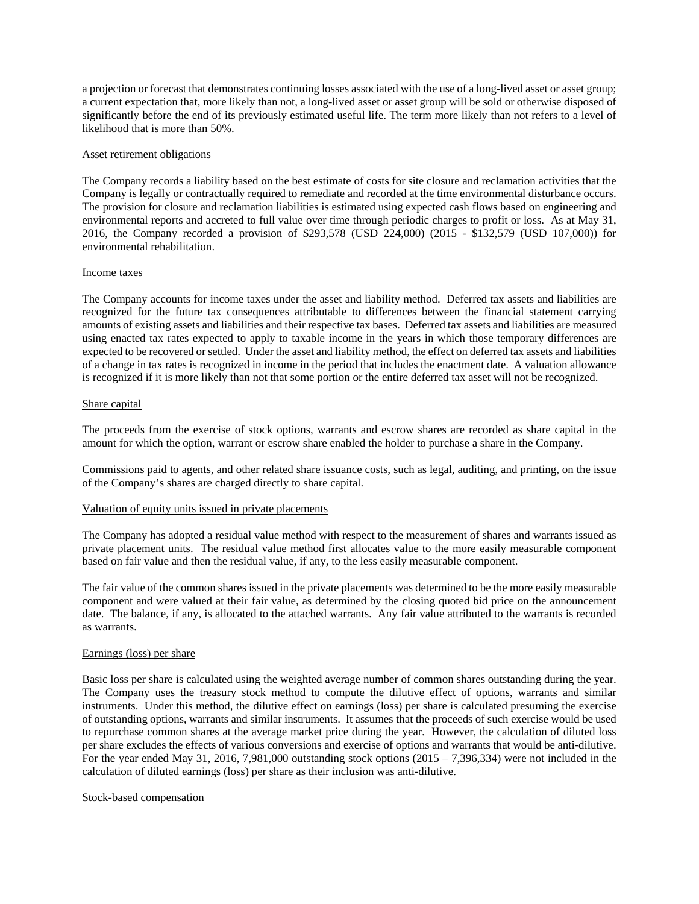a projection or forecast that demonstrates continuing losses associated with the use of a long-lived asset or asset group; a current expectation that, more likely than not, a long-lived asset or asset group will be sold or otherwise disposed of significantly before the end of its previously estimated useful life. The term more likely than not refers to a level of likelihood that is more than 50%.

### Asset retirement obligations

The Company records a liability based on the best estimate of costs for site closure and reclamation activities that the Company is legally or contractually required to remediate and recorded at the time environmental disturbance occurs. The provision for closure and reclamation liabilities is estimated using expected cash flows based on engineering and environmental reports and accreted to full value over time through periodic charges to profit or loss. As at May 31, 2016, the Company recorded a provision of \$293,578 (USD 224,000) (2015 - \$132,579 (USD 107,000)) for environmental rehabilitation.

## Income taxes

The Company accounts for income taxes under the asset and liability method. Deferred tax assets and liabilities are recognized for the future tax consequences attributable to differences between the financial statement carrying amounts of existing assets and liabilities and their respective tax bases. Deferred tax assets and liabilities are measured using enacted tax rates expected to apply to taxable income in the years in which those temporary differences are expected to be recovered or settled. Under the asset and liability method, the effect on deferred tax assets and liabilities of a change in tax rates is recognized in income in the period that includes the enactment date. A valuation allowance is recognized if it is more likely than not that some portion or the entire deferred tax asset will not be recognized.

## Share capital

The proceeds from the exercise of stock options, warrants and escrow shares are recorded as share capital in the amount for which the option, warrant or escrow share enabled the holder to purchase a share in the Company.

Commissions paid to agents, and other related share issuance costs, such as legal, auditing, and printing, on the issue of the Company's shares are charged directly to share capital.

# Valuation of equity units issued in private placements

The Company has adopted a residual value method with respect to the measurement of shares and warrants issued as private placement units. The residual value method first allocates value to the more easily measurable component based on fair value and then the residual value, if any, to the less easily measurable component.

The fair value of the common shares issued in the private placements was determined to be the more easily measurable component and were valued at their fair value, as determined by the closing quoted bid price on the announcement date. The balance, if any, is allocated to the attached warrants. Any fair value attributed to the warrants is recorded as warrants.

### Earnings (loss) per share

Basic loss per share is calculated using the weighted average number of common shares outstanding during the year. The Company uses the treasury stock method to compute the dilutive effect of options, warrants and similar instruments. Under this method, the dilutive effect on earnings (loss) per share is calculated presuming the exercise of outstanding options, warrants and similar instruments. It assumes that the proceeds of such exercise would be used to repurchase common shares at the average market price during the year. However, the calculation of diluted loss per share excludes the effects of various conversions and exercise of options and warrants that would be anti-dilutive. For the year ended May 31, 2016, 7,981,000 outstanding stock options  $(2015 - 7,396,334)$  were not included in the calculation of diluted earnings (loss) per share as their inclusion was anti-dilutive.

# Stock-based compensation